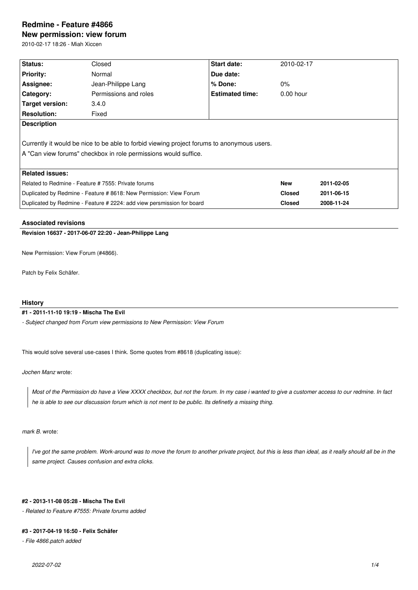# **Redmine - Feature #4866**

**New permission: view forum**

2010-02-17 18:26 - Miah Xiccen

| Status:                                                                                    | Closed                | <b>Start date:</b>     | 2010-02-17  |            |  |  |
|--------------------------------------------------------------------------------------------|-----------------------|------------------------|-------------|------------|--|--|
| <b>Priority:</b>                                                                           | Normal                | Due date:              |             |            |  |  |
| Assignee:                                                                                  | Jean-Philippe Lang    | $%$ Done:              | $0\%$       |            |  |  |
| <b>Category:</b>                                                                           | Permissions and roles | <b>Estimated time:</b> | $0.00$ hour |            |  |  |
| Target version:                                                                            | 3.4.0                 |                        |             |            |  |  |
| <b>Resolution:</b>                                                                         | Fixed                 |                        |             |            |  |  |
| <b>Description</b>                                                                         |                       |                        |             |            |  |  |
|                                                                                            |                       |                        |             |            |  |  |
| Currently it would be nice to be able to forbid viewing project forums to anonymous users. |                       |                        |             |            |  |  |
| A "Can view forums" checkbox in role permissions would suffice.                            |                       |                        |             |            |  |  |
|                                                                                            |                       |                        |             |            |  |  |
| <b>Related issues:</b>                                                                     |                       |                        |             |            |  |  |
| Related to Redmine - Feature # 7555: Private forums                                        |                       |                        | <b>New</b>  | 2011-02-05 |  |  |
| Duplicated by Redmine - Feature # 8618: New Permission: View Forum                         |                       | <b>Closed</b>          | 2011-06-15  |            |  |  |
| Duplicated by Redmine - Feature # 2224: add view persmission for board                     |                       |                        |             |            |  |  |

## **Associated revisions**

**Revision 16637 - 2017-06-07 22:20 - Jean-Philippe Lang**

New Permission: View Forum (#4866).

Patch by Felix Schäfer.

# **History**

## **#1 - 2011-11-10 19:19 - Mischa The Evil**

*- Subject changed from Forum view permissions to New Permission: View Forum*

This would solve several use-cases I think. Some quotes from #8618 (duplicating issue):

*Jochen Manz* wrote:

*Most of the Permission do have a View XXXX checkbox, but not the forum. In my case i wanted to give a customer access to our redmine. In fact he is able to see our discussion forum which is not ment to be public. Its definetly a missing thing.*

*mark B.* wrote:

*I've got the same problem. Work-around was to move the forum to another private project, but this is less than ideal, as it really should all be in the same project. Causes confusion and extra clicks.*

# **#2 - 2013-11-08 05:28 - Mischa The Evil**

*- Related to Feature #7555: Private forums added*

#### **#3 - 2017-04-19 16:50 - Felix Schäfer**

*- File 4866.patch added*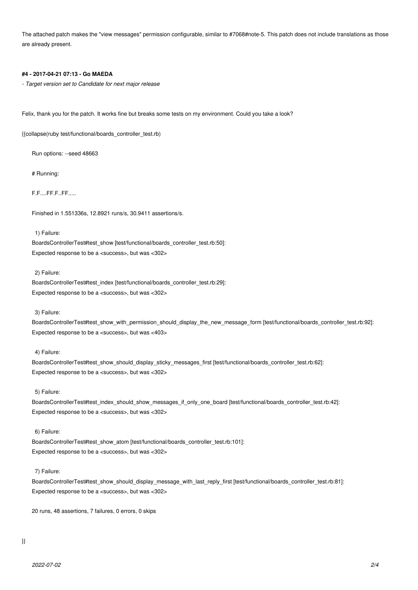The attached patch makes the "view messages" permission configurable, similar to #7068#note-5. This patch does not include translations as those are already present.

#### **#4 - 2017-04-21 07:13 - Go MAEDA**

*- Target version set to Candidate for next major release*

Felix, thank you for the patch. It works fine but breaks some tests on my environment. Could you take a look?

{{collapse(ruby test/functional/boards\_controller\_test.rb)

Run options: --seed 48663

# Running:

F.F....FF.F..FF.....

Finished in 1.551336s, 12.8921 runs/s, 30.9411 assertions/s.

1) Failure:

BoardsControllerTest#test\_show [test/functional/boards\_controller\_test.rb:50]: Expected response to be a <success>, but was <302>

2) Failure:

BoardsControllerTest#test\_index [test/functional/boards\_controller\_test.rb:29]: Expected response to be a <success>, but was <302>

3) Failure:

BoardsControllerTest#test\_show\_with\_permission\_should\_display\_the\_new\_message\_form [test/functional/boards\_controller\_test.rb:92]: Expected response to be a <success>, but was <403>

## 4) Failure:

BoardsControllerTest#test\_show\_should\_display\_sticky\_messages\_first [test/functional/boards\_controller\_test.rb:62]: Expected response to be a <success>, but was <302>

# 5) Failure:

BoardsControllerTest#test\_index\_should\_show\_messages\_if\_only\_one\_board [test/functional/boards\_controller\_test.rb:42]: Expected response to be a <success>, but was <302>

#### 6) Failure:

BoardsControllerTest#test\_show\_atom [test/functional/boards\_controller\_test.rb:101]: Expected response to be a <success>, but was <302>

#### 7) Failure:

BoardsControllerTest#test\_show\_should\_display\_message\_with\_last\_reply\_first [test/functional/boards\_controller\_test.rb:81]: Expected response to be a <success>, but was <302>

20 runs, 48 assertions, 7 failures, 0 errors, 0 skips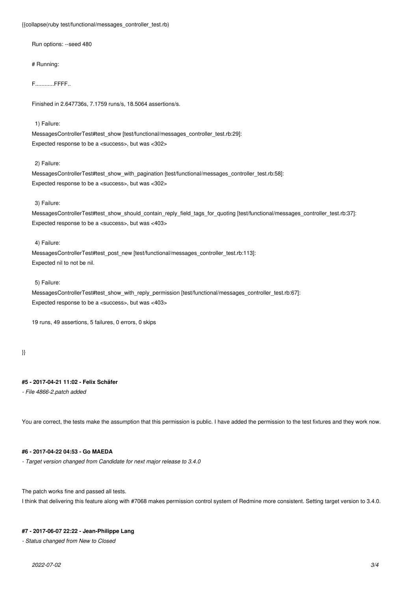#### {{collapse(ruby test/functional/messages\_controller\_test.rb)

Run options: --seed 480

# Running:

F............FFFF..

Finished in 2.647736s, 7.1759 runs/s, 18.5064 assertions/s.

#### 1) Failure:

MessagesControllerTest#test\_show [test/functional/messages\_controller\_test.rb:29]: Expected response to be a <success>, but was <302>

#### 2) Failure:

MessagesControllerTest#test\_show\_with\_pagination [test/functional/messages\_controller\_test.rb:58]: Expected response to be a <success>, but was <302>

#### 3) Failure:

MessagesControllerTest#test\_show\_should\_contain\_reply\_field\_tags\_for\_quoting [test/functional/messages\_controller\_test.rb:37]: Expected response to be a <success>, but was <403>

# 4) Failure:

MessagesControllerTest#test\_post\_new [test/functional/messages\_controller\_test.rb:113]: Expected nil to not be nil.

#### 5) Failure:

MessagesControllerTest#test\_show\_with\_reply\_permission [test/functional/messages\_controller\_test.rb:67]: Expected response to be a <success>, but was <403>

19 runs, 49 assertions, 5 failures, 0 errors, 0 skips

## }}

# **#5 - 2017-04-21 11:02 - Felix Schäfer**

*- File 4866-2.patch added*

You are correct, the tests make the assumption that this permission is public. I have added the permission to the test fixtures and they work now.

# **#6 - 2017-04-22 04:53 - Go MAEDA**

*- Target version changed from Candidate for next major release to 3.4.0*

The patch works fine and passed all tests.

I think that delivering this feature along with #7068 makes permission control system of Redmine more consistent. Setting target version to 3.4.0.

### **#7 - 2017-06-07 22:22 - Jean-Philippe Lang**

*- Status changed from New to Closed*